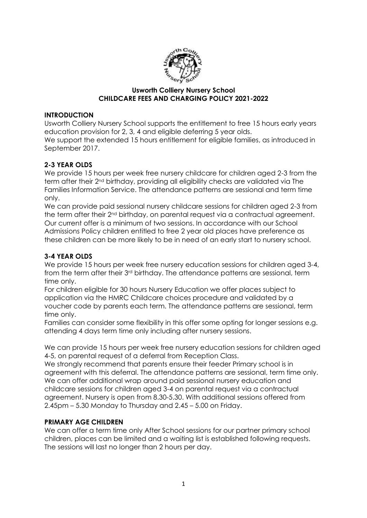

#### **Usworth Colliery Nursery School CHILDCARE FEES AND CHARGING POLICY 2021-2022**

#### **INTRODUCTION**

Usworth Colliery Nursery School supports the entitlement to free 15 hours early years education provision for 2, 3, 4 and eligible deferring 5 year olds. We support the extended 15 hours entitlement for eligible families, as introduced in September 2017.

# **2-3 YEAR OLDS**

We provide 15 hours per week free nursery childcare for children aged 2-3 from the term after their 2nd birthday, providing all eligibility checks are validated via The Families Information Service. The attendance patterns are sessional and term time only.

We can provide paid sessional nursery childcare sessions for children aged 2-3 from the term after their 2nd birthday, on parental request via a contractual agreement. Our current offer is a minimum of two sessions. In accordance with our School Admissions Policy children entitled to free 2 year old places have preference as these children can be more likely to be in need of an early start to nursery school.

# **3-4 YEAR OLDS**

We provide 15 hours per week free nursery education sessions for children aged 3-4, from the term after their 3rd birthday. The attendance patterns are sessional, term time only.

For children eligible for 30 hours Nursery Education we offer places subject to application via the HMRC Childcare choices procedure and validated by a voucher code by parents each term. The attendance patterns are sessional, term time only.

Families can consider some flexibility in this offer some opting for longer sessions e.g. attending 4 days term time only including after nursery sessions.

We can provide 15 hours per week free nursery education sessions for children aged 4-5, on parental request of a deferral from Reception Class.

We strongly recommend that parents ensure their feeder Primary school is in agreement with this deferral. The attendance patterns are sessional, term time only. We can offer additional wrap around paid sessional nursery education and childcare sessions for children aged 3-4 on parental request via a contractual agreement. Nursery is open from 8.30-5.30. With additional sessions offered from 2.45pm – 5.30 Monday to Thursday and 2.45 – 5.00 on Friday.

#### **PRIMARY AGE CHILDREN**

We can offer a term time only After School sessions for our partner primary school children, places can be limited and a waiting list is established following requests. The sessions will last no longer than 2 hours per day.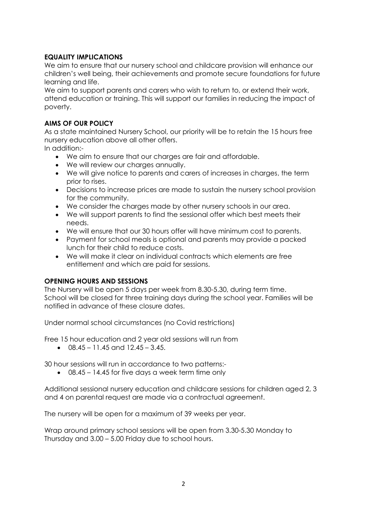#### **EQUALITY IMPLICATIONS**

We aim to ensure that our nursery school and childcare provision will enhance our children's well being, their achievements and promote secure foundations for future learning and life.

We aim to support parents and carers who wish to return to, or extend their work, attend education or training. This will support our families in reducing the impact of poverty.

### **AIMS OF OUR POLICY**

As a state maintained Nursery School, our priority will be to retain the 15 hours free nursery education above all other offers.

In addition:-

- We aim to ensure that our charges are fair and affordable.
- We will review our charges annually.
- We will give notice to parents and carers of increases in charges, the term prior to rises.
- Decisions to increase prices are made to sustain the nursery school provision for the community.
- We consider the charges made by other nursery schools in our area.
- We will support parents to find the sessional offer which best meets their needs.
- We will ensure that our 30 hours offer will have minimum cost to parents.
- Payment for school meals is optional and parents may provide a packed lunch for their child to reduce costs.
- We will make it clear on individual contracts which elements are free entitlement and which are paid for sessions.

# **OPENING HOURS AND SESSIONS**

The Nursery will be open 5 days per week from 8.30-5.30, during term time. School will be closed for three training days during the school year. Families will be notified in advance of these closure dates.

Under normal school circumstances (no Covid restrictions)

Free 15 hour education and 2 year old sessions will run from

 $\bullet$  08.45 – 11.45 and 12.45 – 3.45.

30 hour sessions will run in accordance to two patterns:-

08.45 – 14.45 for five days a week term time only

Additional sessional nursery education and childcare sessions for children aged 2, 3 and 4 on parental request are made via a contractual agreement.

The nursery will be open for a maximum of 39 weeks per year.

Wrap around primary school sessions will be open from 3.30-5.30 Monday to Thursday and 3.00 – 5.00 Friday due to school hours.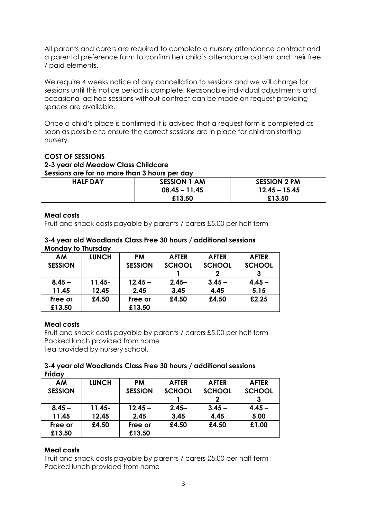All parents and carers are required to complete a nursery attendance contract and a parental preference form to confirm heir child's attendance pattern and their free / paid elements.

We require 4 weeks notice of any cancellation to sessions and we will charge for sessions until this notice period is complete. Reasonable individual adjustments and occasional ad hoc sessions without contract can be made on request providing spaces are available.

Once a child's place is confirmed it is advised that a request form is completed as soon as possible to ensure the correct sessions are in place for children starting nursery.

#### **COST OF SESSIONS**

# **2-3 year old Meadow Class Childcare**

**Sessions are for no more than 3 hours per day**

| <b>HALF DAY</b> | <b>SESSION 1 AM</b> | <b>SESSION 2 PM</b> |  |
|-----------------|---------------------|---------------------|--|
|                 | $08.45 - 11.45$     | $12.45 - 15.45$     |  |
|                 | £13.50              | £13.50              |  |

#### **Meal costs**

Fruit and snack costs payable by parents / carers £5.00 per half term

#### **3-4 year old Woodlands Class Free 30 hours / additional sessions Monday to Thursday**

| <b>AM</b>      | <b>LUNCH</b> | <b>PM</b>      | <b>AFTER</b>  | <b>AFTER</b>  | <b>AFTER</b>  |
|----------------|--------------|----------------|---------------|---------------|---------------|
| <b>SESSION</b> |              | <b>SESSION</b> | <b>SCHOOL</b> | <b>SCHOOL</b> | <b>SCHOOL</b> |
|                |              |                |               |               |               |
| $8.45 -$       | $11.45 -$    | $12.45 -$      | $2.45 -$      | $3.45 -$      | $4.45 -$      |
| 11.45          | 12.45        | 2.45           | 3.45          | 4.45          | 5.15          |
| Free or        | £4.50        | Free or        | £4.50         | £4.50         | £2.25         |
| £13.50         |              | £13.50         |               |               |               |

#### **Meal costs**

Fruit and snack costs payable by parents / carers £5.00 per half term Packed lunch provided from home Tea provided by nursery school.

#### **3-4 year old Woodlands Class Free 30 hours / additional sessions Friday**

| AM             | <b>LUNCH</b> | <b>PM</b>      | <b>AFTER</b>  | <b>AFTER</b>  | <b>AFTER</b>  |
|----------------|--------------|----------------|---------------|---------------|---------------|
| <b>SESSION</b> |              | <b>SESSION</b> | <b>SCHOOL</b> | <b>SCHOOL</b> | <b>SCHOOL</b> |
|                |              |                |               |               |               |
| $8.45 -$       | $11.45 -$    | $12.45 -$      | $2.45 -$      | $3.45 -$      | $4.45 -$      |
| 11.45          | 12.45        | 2.45           | 3.45          | 4.45          | 5.00          |
| Free or        | £4.50        | Free or        | £4.50         | £4.50         | £1.00         |
| £13.50         |              | £13.50         |               |               |               |

#### **Meal costs**

Fruit and snack costs payable by parents / carers £5.00 per half term Packed lunch provided from home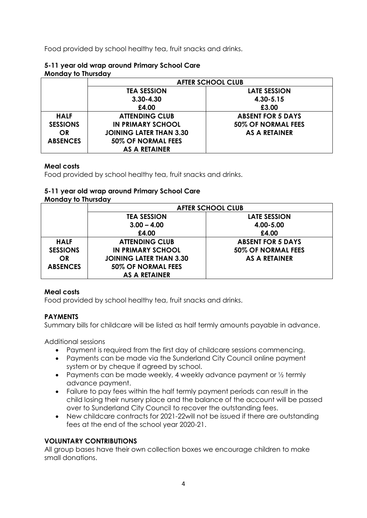Food provided by school healthy tea, fruit snacks and drinks.

#### **5-11 year old wrap around Primary School Care Monday to Thursday**

|                 | <b>AFTER SCHOOL CLUB</b>       |                          |  |
|-----------------|--------------------------------|--------------------------|--|
|                 | <b>TEA SESSION</b>             | <b>LATE SESSION</b>      |  |
|                 | $3.30 - 4.30$                  | 4.30-5.15                |  |
|                 | £4.00                          | £3.00                    |  |
| <b>HALF</b>     | <b>ATTENDING CLUB</b>          | <b>ABSENT FOR 5 DAYS</b> |  |
| <b>SESSIONS</b> | <b>IN PRIMARY SCHOOL</b>       | 50% OF NORMAL FEES       |  |
| <b>OR</b>       | <b>JOINING LATER THAN 3.30</b> | <b>AS A RETAINER</b>     |  |
| <b>ABSENCES</b> | 50% OF NORMAL FEES             |                          |  |
|                 | AS A RETAINER                  |                          |  |

# **Meal costs**

Food provided by school healthy tea, fruit snacks and drinks.

# **5-11 year old wrap around Primary School Care**

# **Monday to Thursday**

|                 | <b>AFTER SCHOOL CLUB</b>       |                          |  |
|-----------------|--------------------------------|--------------------------|--|
|                 | <b>TEA SESSION</b>             | LATE SESSION             |  |
|                 | $3.00 - 4.00$                  | 4.00-5.00                |  |
|                 | £4.00                          | £4.00                    |  |
| <b>HALF</b>     | <b>ATTENDING CLUB</b>          | <b>ABSENT FOR 5 DAYS</b> |  |
| <b>SESSIONS</b> | <b>IN PRIMARY SCHOOL</b>       | 50% OF NORMAL FEES       |  |
| <b>OR</b>       | <b>JOINING LATER THAN 3.30</b> | AS A RETAINER            |  |
| <b>ABSENCES</b> | 50% OF NORMAL FEES             |                          |  |
|                 | <b>AS A RETAINER</b>           |                          |  |

# **Meal costs**

Food provided by school healthy tea, fruit snacks and drinks.

# **PAYMENTS**

Summary bills for childcare will be listed as half termly amounts payable in advance.

Additional sessions

- Payment is required from the first day of childcare sessions commencing.
- Payments can be made via the Sunderland City Council online payment system or by cheque if agreed by school.
- Payments can be made weekly, 4 weekly advance payment or  $\frac{1}{2}$  termly advance payment.
- Failure to pay fees within the half termly payment periods can result in the child losing their nursery place and the balance of the account will be passed over to Sunderland City Council to recover the outstanding fees.
- New childcare contracts for 2021-22will not be issued if there are outstanding fees at the end of the school year 2020-21.

# **VOLUNTARY CONTRIBUTIONS**

All group bases have their own collection boxes we encourage children to make small donations.